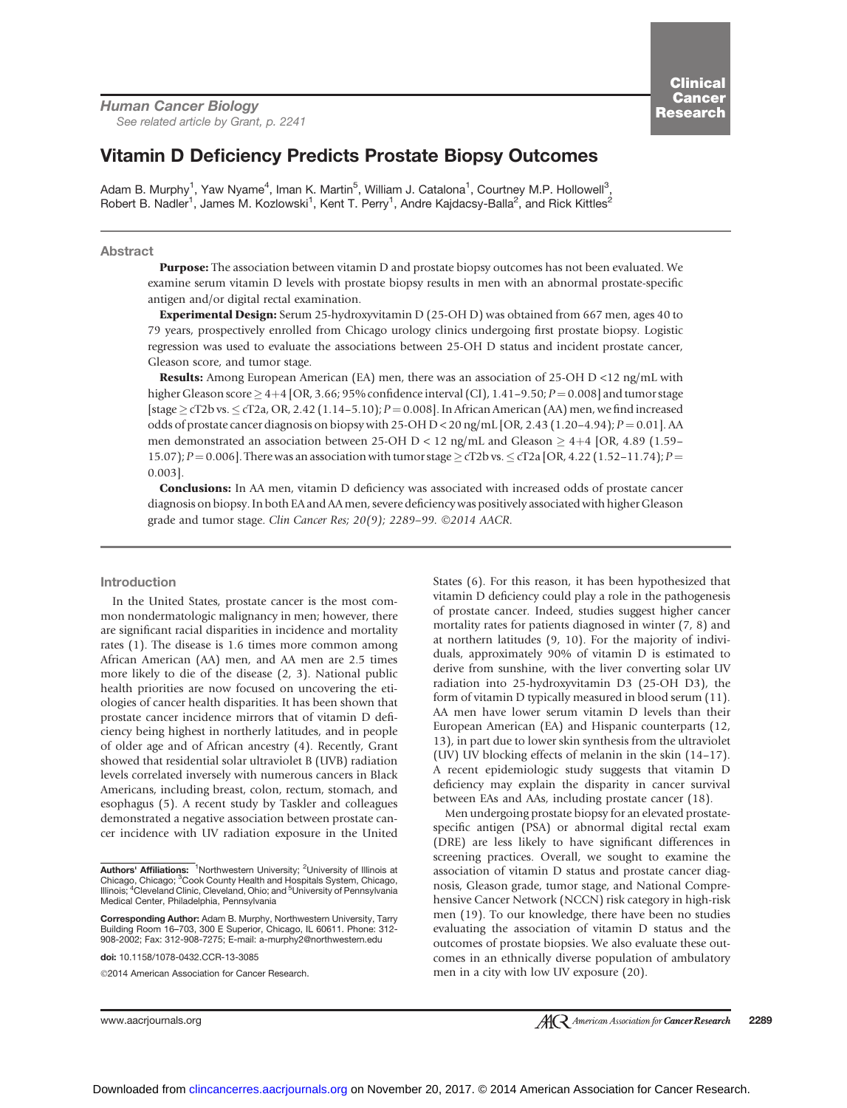### Vitamin D Deficiency Predicts Prostate Biopsy Outcomes

Adam B. Murphy<sup>1</sup>, Yaw Nyame<sup>4</sup>, Iman K. Martin<sup>5</sup>, William J. Catalona<sup>1</sup>, Courtney M.P. Hollowell<sup>3</sup>, Robert B. Nadler<sup>1</sup>, James M. Kozlowski<sup>1</sup>, Kent T. Perry<sup>1</sup>, Andre Kajdacsy-Balla<sup>2</sup>, and Rick Kittles<sup>2</sup>

#### Abstract

Purpose: The association between vitamin D and prostate biopsy outcomes has not been evaluated. We examine serum vitamin D levels with prostate biopsy results in men with an abnormal prostate-specific antigen and/or digital rectal examination.

Experimental Design: Serum 25-hydroxyvitamin D (25-OH D) was obtained from 667 men, ages 40 to 79 years, prospectively enrolled from Chicago urology clinics undergoing first prostate biopsy. Logistic regression was used to evaluate the associations between 25-OH D status and incident prostate cancer, Gleason score, and tumor stage.

Results: Among European American (EA) men, there was an association of 25-OH D <12 ng/mL with higher Gleason score  $\geq 4+4$  [OR, 3.66; 95% confidence interval (CI), 1.41–9.50; P = 0.008] and tumor stage [stage  $\geq$  cT2b vs.  $\leq$  cT2a, OR, 2.42 (1.14–5.10); P = 0.008]. In African American (AA) men, we find increased odds of prostate cancer diagnosis on biopsy with 25-OH D < 20 ng/mL [OR, 2.43 (1.20–4.94);  $P = 0.01$ ]. AA men demonstrated an association between 25-OH D < 12 ng/mL and Gleason  $\geq$  4+4 [OR, 4.89 (1.59– 15.07); P = 0.006]. There was an association with tumor stage  $\geq$  CT2b vs.  $\leq$  CT2a [OR, 4.22 (1.52–11.74); P = 0.003].

**Conclusions:** In AA men, vitamin D deficiency was associated with increased odds of prostate cancer diagnosis on biopsy. In both EA and AA men, severe deficiency was positively associated with higher Gleason grade and tumor stage. Clin Cancer Res; 20(9); 2289-99. ©2014 AACR.

#### Introduction

In the United States, prostate cancer is the most common nondermatologic malignancy in men; however, there are significant racial disparities in incidence and mortality rates (1). The disease is 1.6 times more common among African American (AA) men, and AA men are 2.5 times more likely to die of the disease (2, 3). National public health priorities are now focused on uncovering the etiologies of cancer health disparities. It has been shown that prostate cancer incidence mirrors that of vitamin D deficiency being highest in northerly latitudes, and in people of older age and of African ancestry (4). Recently, Grant showed that residential solar ultraviolet B (UVB) radiation levels correlated inversely with numerous cancers in Black Americans, including breast, colon, rectum, stomach, and esophagus (5). A recent study by Taskler and colleagues demonstrated a negative association between prostate cancer incidence with UV radiation exposure in the United

doi: 10.1158/1078-0432.CCR-13-3085

©2014 American Association for Cancer Research.

States (6). For this reason, it has been hypothesized that vitamin D deficiency could play a role in the pathogenesis of prostate cancer. Indeed, studies suggest higher cancer mortality rates for patients diagnosed in winter (7, 8) and at northern latitudes (9, 10). For the majority of individuals, approximately 90% of vitamin D is estimated to derive from sunshine, with the liver converting solar UV radiation into 25-hydroxyvitamin D3 (25-OH D3), the form of vitamin D typically measured in blood serum (11). AA men have lower serum vitamin D levels than their European American (EA) and Hispanic counterparts (12, 13), in part due to lower skin synthesis from the ultraviolet (UV) UV blocking effects of melanin in the skin (14–17). A recent epidemiologic study suggests that vitamin D deficiency may explain the disparity in cancer survival between EAs and AAs, including prostate cancer (18).

Men undergoing prostate biopsy for an elevated prostatespecific antigen (PSA) or abnormal digital rectal exam (DRE) are less likely to have significant differences in screening practices. Overall, we sought to examine the association of vitamin D status and prostate cancer diagnosis, Gleason grade, tumor stage, and National Comprehensive Cancer Network (NCCN) risk category in high-risk men (19). To our knowledge, there have been no studies evaluating the association of vitamin D status and the outcomes of prostate biopsies. We also evaluate these outcomes in an ethnically diverse population of ambulatory men in a city with low UV exposure (20).

Authors' Affiliations: <sup>1</sup>Northwestern University; <sup>2</sup>University of Illinois at Chicago, Chicago; <sup>3</sup>Cook County Health and Hospitals System, Chicago, Illinois; <sup>4</sup>Cleveland Clinic, Cleveland, Ohio; and <sup>5</sup>University of Pennsylvania Medical Center, Philadelphia, Pennsylvania

Corresponding Author: Adam B. Murphy, Northwestern University, Tarry Building Room 16–703, 300 E Superior, Chicago, IL 60611. Phone: 312- 908-2002; Fax: 312-908-7275; E-mail: a-murphy2@northwestern.edu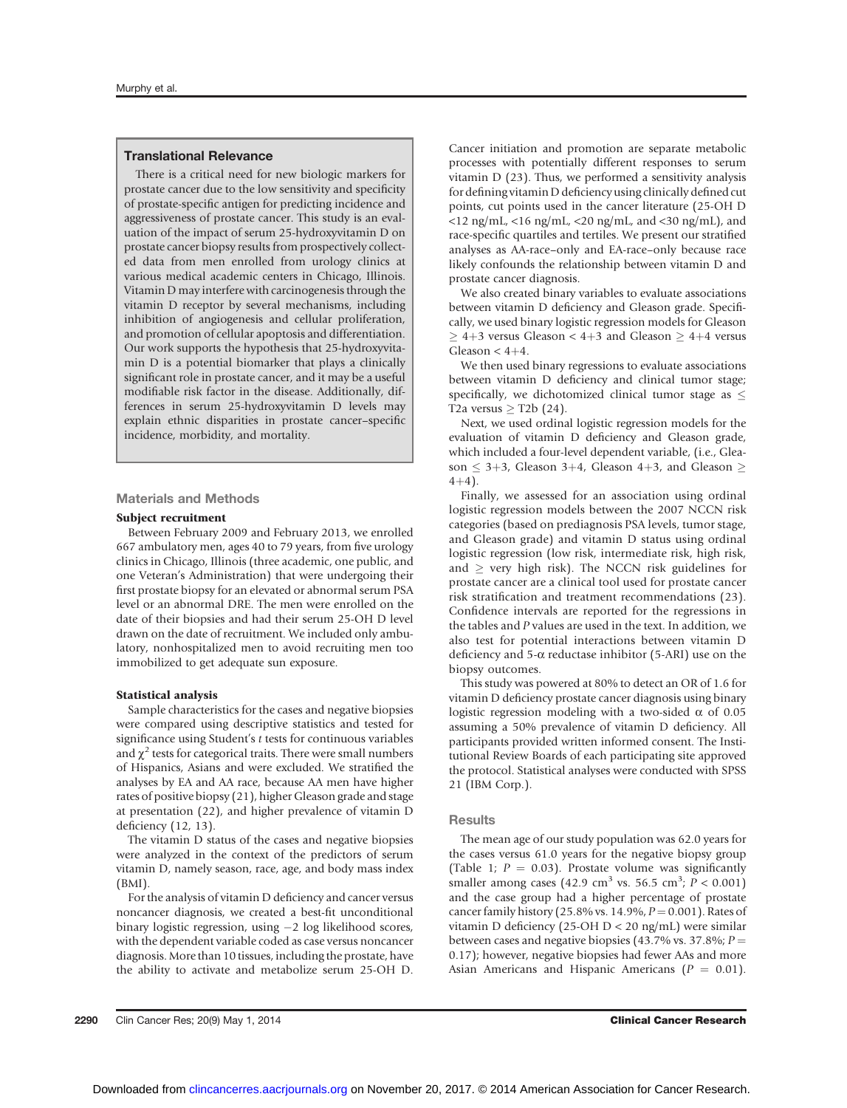#### Translational Relevance

There is a critical need for new biologic markers for prostate cancer due to the low sensitivity and specificity of prostate-specific antigen for predicting incidence and aggressiveness of prostate cancer. This study is an evaluation of the impact of serum 25-hydroxyvitamin D on prostate cancer biopsy results from prospectively collected data from men enrolled from urology clinics at various medical academic centers in Chicago, Illinois. Vitamin D may interfere with carcinogenesis through the vitamin D receptor by several mechanisms, including inhibition of angiogenesis and cellular proliferation, and promotion of cellular apoptosis and differentiation. Our work supports the hypothesis that 25-hydroxyvitamin D is a potential biomarker that plays a clinically significant role in prostate cancer, and it may be a useful modifiable risk factor in the disease. Additionally, differences in serum 25-hydroxyvitamin D levels may explain ethnic disparities in prostate cancer–specific incidence, morbidity, and mortality.

#### Materials and Methods

#### Subject recruitment

Between February 2009 and February 2013, we enrolled 667 ambulatory men, ages 40 to 79 years, from five urology clinics in Chicago, Illinois (three academic, one public, and one Veteran's Administration) that were undergoing their first prostate biopsy for an elevated or abnormal serum PSA level or an abnormal DRE. The men were enrolled on the date of their biopsies and had their serum 25-OH D level drawn on the date of recruitment. We included only ambulatory, nonhospitalized men to avoid recruiting men too immobilized to get adequate sun exposure.

#### Statistical analysis

Sample characteristics for the cases and negative biopsies were compared using descriptive statistics and tested for significance using Student's t tests for continuous variables and  $\chi^2$  tests for categorical traits. There were small numbers of Hispanics, Asians and were excluded. We stratified the analyses by EA and AA race, because AA men have higher rates of positive biopsy (21), higher Gleason grade and stage at presentation (22), and higher prevalence of vitamin D deficiency (12, 13).

The vitamin D status of the cases and negative biopsies were analyzed in the context of the predictors of serum vitamin D, namely season, race, age, and body mass index (BMI).

For the analysis of vitamin D deficiency and cancer versus noncancer diagnosis, we created a best-fit unconditional binary logistic regression, using  $-2$  log likelihood scores, with the dependent variable coded as case versus noncancer diagnosis. More than 10 tissues, including the prostate, have the ability to activate and metabolize serum 25-OH D. Cancer initiation and promotion are separate metabolic processes with potentially different responses to serum vitamin D (23). Thus, we performed a sensitivity analysis for defining vitamin D deficiency using clinically defined cut points, cut points used in the cancer literature (25-OH D  $\langle 12 \text{ ng/mL}$ ,  $\langle 16 \text{ ng/mL}$ ,  $\langle 20 \text{ ng/mL}$ , and  $\langle 30 \text{ ng/mL} \rangle$ , and race-specific quartiles and tertiles. We present our stratified analyses as AA-race–only and EA-race–only because race likely confounds the relationship between vitamin D and prostate cancer diagnosis.

We also created binary variables to evaluate associations between vitamin D deficiency and Gleason grade. Specifically, we used binary logistic regression models for Gleason  $\geq$  4+3 versus Gleason < 4+3 and Gleason  $\geq$  4+4 versus Gleason  $<$  4+4.

We then used binary regressions to evaluate associations between vitamin D deficiency and clinical tumor stage; specifically, we dichotomized clinical tumor stage as  $\leq$ T2a versus  $\geq$  T2b (24).

Next, we used ordinal logistic regression models for the evaluation of vitamin D deficiency and Gleason grade, which included a four-level dependent variable, (i.e., Gleason  $\leq$  3+3, Gleason 3+4, Gleason 4+3, and Gleason  $\geq$  $4+4$ ).

Finally, we assessed for an association using ordinal logistic regression models between the 2007 NCCN risk categories (based on prediagnosis PSA levels, tumor stage, and Gleason grade) and vitamin D status using ordinal logistic regression (low risk, intermediate risk, high risk, and  $\geq$  very high risk). The NCCN risk guidelines for prostate cancer are a clinical tool used for prostate cancer risk stratification and treatment recommendations (23). Confidence intervals are reported for the regressions in the tables and P values are used in the text. In addition, we also test for potential interactions between vitamin D deficiency and 5- $\alpha$  reductase inhibitor (5-ARI) use on the biopsy outcomes.

This study was powered at 80% to detect an OR of 1.6 for vitamin D deficiency prostate cancer diagnosis using binary logistic regression modeling with a two-sided  $\alpha$  of 0.05 assuming a 50% prevalence of vitamin D deficiency. All participants provided written informed consent. The Institutional Review Boards of each participating site approved the protocol. Statistical analyses were conducted with SPSS 21 (IBM Corp.).

#### **Results**

The mean age of our study population was 62.0 years for the cases versus 61.0 years for the negative biopsy group (Table 1;  $P = 0.03$ ). Prostate volume was significantly smaller among cases (42.9 cm<sup>3</sup> vs. 56.5 cm<sup>3</sup>;  $P < 0.001$ ) and the case group had a higher percentage of prostate cancer family history (25.8% vs. 14.9%,  $P = 0.001$ ). Rates of vitamin D deficiency (25-OH D < 20 ng/mL) were similar between cases and negative biopsies (43.7% vs. 37.8%;  $P =$ 0.17); however, negative biopsies had fewer AAs and more Asian Americans and Hispanic Americans ( $P = 0.01$ ).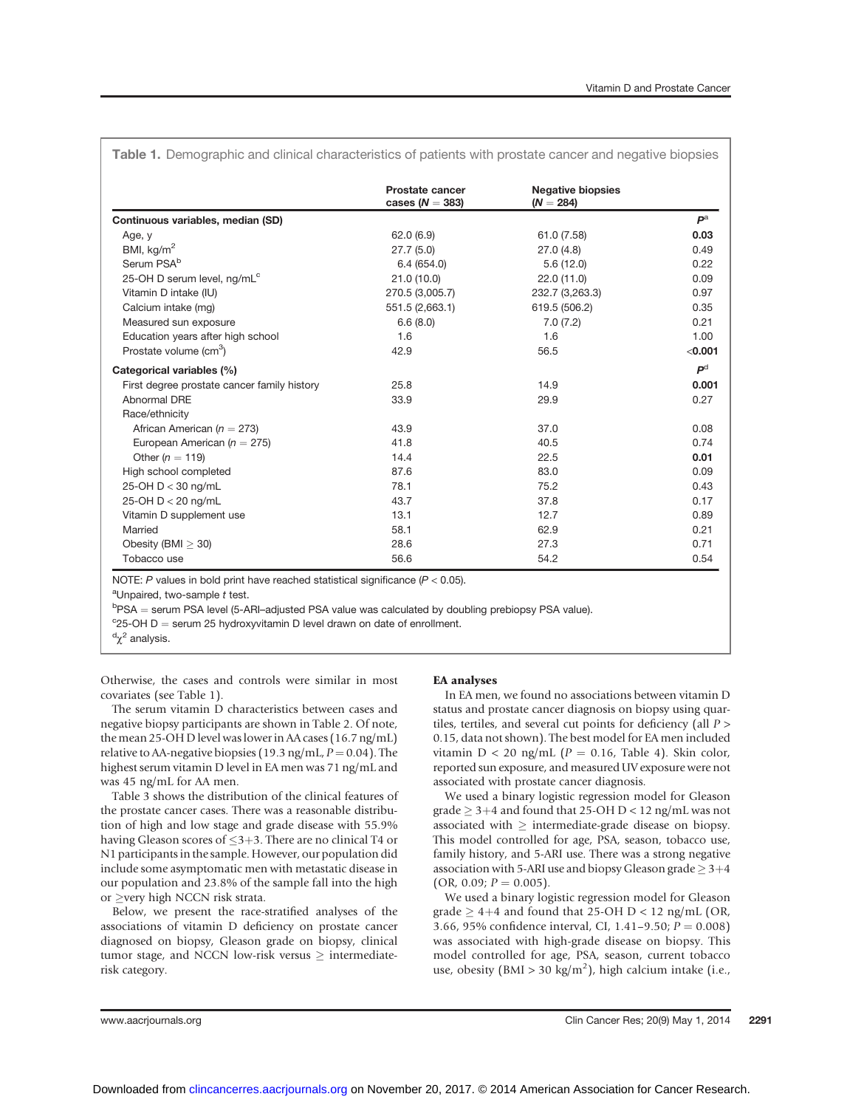|                                             | <b>Prostate cancer</b><br>cases $(N = 383)$ | <b>Negative biopsies</b><br>$(N = 284)$ |                           |
|---------------------------------------------|---------------------------------------------|-----------------------------------------|---------------------------|
| Continuous variables, median (SD)           |                                             |                                         | $P^a$                     |
| Age, y                                      | 62.0(6.9)                                   | 61.0 (7.58)                             | 0.03                      |
| BMI, $\text{kg/m}^2$                        | 27.7(5.0)                                   | 27.0(4.8)                               | 0.49                      |
| Serum PSA <sup>b</sup>                      | 6.4(654.0)                                  | 5.6(12.0)                               | 0.22                      |
| 25-OH D serum level, ng/mL <sup>c</sup>     | 21.0(10.0)                                  | 22.0 (11.0)                             | 0.09                      |
| Vitamin D intake (IU)                       | 270.5 (3,005.7)                             | 232.7 (3,263.3)                         | 0.97                      |
| Calcium intake (mg)                         | 551.5 (2,663.1)                             | 619.5 (506.2)                           | 0.35                      |
| Measured sun exposure                       | 6.6(8.0)                                    | 7.0(7.2)                                | 0.21                      |
| Education years after high school           | 1.6                                         | 1.6                                     | 1.00                      |
| Prostate volume (cm <sup>3</sup> )          | 42.9                                        | 56.5                                    | < 0.001                   |
| Categorical variables (%)                   |                                             |                                         | $\mathbf{P}^{\mathrm{d}}$ |
| First degree prostate cancer family history | 25.8                                        | 14.9                                    | 0.001                     |
| Abnormal DRE                                | 33.9                                        | 29.9                                    | 0.27                      |
| Race/ethnicity                              |                                             |                                         |                           |
| African American ( $n = 273$ )              | 43.9                                        | 37.0                                    | 0.08                      |
| European American ( $n = 275$ )             | 41.8                                        | 40.5                                    | 0.74                      |
| Other ( $n = 119$ )                         | 14.4                                        | 22.5                                    | 0.01                      |
| High school completed                       | 87.6                                        | 83.0                                    | 0.09                      |
| 25-OH D < 30 ng/mL                          | 78.1                                        | 75.2                                    | 0.43                      |
| 25-OH D < 20 ng/mL                          | 43.7                                        | 37.8                                    | 0.17                      |
| Vitamin D supplement use                    | 13.1                                        | 12.7                                    | 0.89                      |
| Married                                     | 58.1                                        | 62.9                                    | 0.21                      |
| Obesity (BMI $>$ 30)                        | 28.6                                        | 27.3                                    | 0.71                      |
| Tobacco use                                 | 56.6                                        | 54.2                                    | 0.54                      |

Table 1. Demographic and clinical characteristics of patients with prostate cancer and negative biopsies

NOTE: P values in bold print have reached statistical significance  $(P < 0.05)$ .

<sup>a</sup>Unpaired, two-sample t test.

<sup>b</sup>PSA = serum PSA level (5-ARI–adjusted PSA value was calculated by doubling prebiopsy PSA value).<br><sup>c</sup>25-OH D = serum 25 bydroxwitamin D level drawn on date of enrollment

 $°25-OH D =$  serum 25 hydroxyvitamin D level drawn on date of enrollment.

 $d\gamma^2$  analysis.

Otherwise, the cases and controls were similar in most covariates (see Table 1).

The serum vitamin D characteristics between cases and negative biopsy participants are shown in Table 2. Of note, the mean 25-OH D level was lower in AA cases (16.7 ng/mL) relative to AA-negative biopsies (19.3 ng/mL,  $P = 0.04$ ). The highest serum vitamin D level in EA men was 71 ng/mL and was 45 ng/mL for AA men.

Table 3 shows the distribution of the clinical features of the prostate cancer cases. There was a reasonable distribution of high and low stage and grade disease with 55.9% having Gleason scores of  $\leq$ 3+3. There are no clinical T4 or N1 participants in the sample. However, our population did include some asymptomatic men with metastatic disease in our population and 23.8% of the sample fall into the high or  $>$ very high NCCN risk strata.

Below, we present the race-stratified analyses of the associations of vitamin D deficiency on prostate cancer diagnosed on biopsy, Gleason grade on biopsy, clinical tumor stage, and NCCN low-risk versus  $\geq$  intermediaterisk category.

#### EA analyses

In EA men, we found no associations between vitamin D status and prostate cancer diagnosis on biopsy using quartiles, tertiles, and several cut points for deficiency (all  $P >$ 0.15, data not shown). The best model for EA men included vitamin  $D < 20$  ng/mL ( $P = 0.16$ , Table 4). Skin color, reported sun exposure, and measured UV exposure were not associated with prostate cancer diagnosis.

We used a binary logistic regression model for Gleason grade  $\geq$  3+4 and found that 25-OH D < 12 ng/mL was not associated with  $\geq$  intermediate-grade disease on biopsy. This model controlled for age, PSA, season, tobacco use, family history, and 5-ARI use. There was a strong negative association with 5-ARI use and biopsy Gleason grade  $\geq 3+4$  $(OR, 0.09; P = 0.005).$ 

We used a binary logistic regression model for Gleason grade  $> 4+4$  and found that 25-OH D < 12 ng/mL (OR, 3.66, 95% confidence interval, CI, 1.41-9.50;  $P = 0.008$ ) was associated with high-grade disease on biopsy. This model controlled for age, PSA, season, current tobacco use, obesity (BMI > 30 kg/m<sup>2</sup>), high calcium intake (i.e.,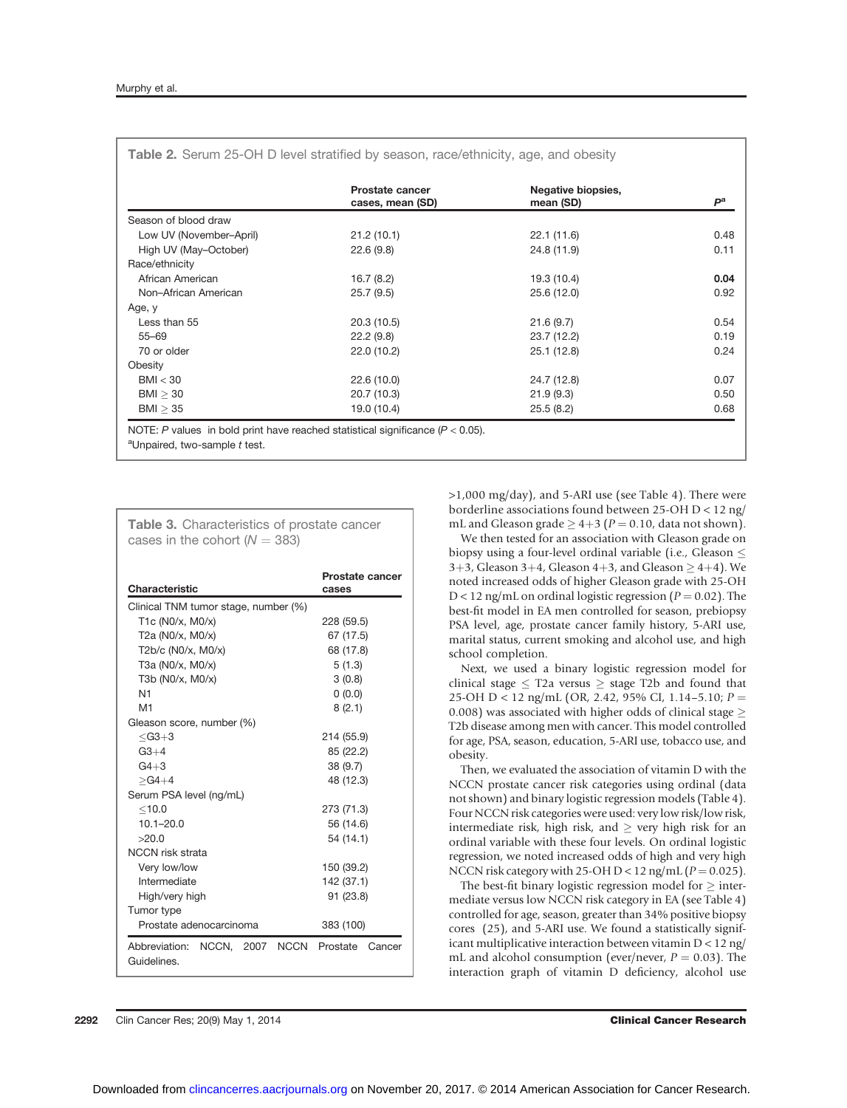|                         | <b>Prostate cancer</b><br>cases, mean (SD) | Negative biopsies,<br>mean (SD) | $P^a$ |
|-------------------------|--------------------------------------------|---------------------------------|-------|
| Season of blood draw    |                                            |                                 |       |
| Low UV (November-April) | 21.2(10.1)                                 | 22.1(11.6)                      | 0.48  |
| High UV (May-October)   | 22.6(9.8)                                  | 24.8 (11.9)                     | 0.11  |
| Race/ethnicity          |                                            |                                 |       |
| African American        | 16.7(8.2)                                  | 19.3 (10.4)                     | 0.04  |
| Non-African American    | 25.7(9.5)                                  | 25.6 (12.0)                     | 0.92  |
| Age, y                  |                                            |                                 |       |
| Less than 55            | 20.3(10.5)                                 | 21.6(9.7)                       | 0.54  |
| $55 - 69$               | 22.2(9.8)                                  | 23.7 (12.2)                     | 0.19  |
| 70 or older             | 22.0 (10.2)                                | 25.1(12.8)                      | 0.24  |
| Obesity                 |                                            |                                 |       |
| BMI < 30                | 22.6(10.0)                                 | 24.7 (12.8)                     | 0.07  |
| BM > 30                 | 20.7 (10.3)                                | 21.9(9.3)                       | 0.50  |
| BM > 35                 | 19.0 (10.4)                                | 25.5(8.2)                       | 0.68  |

|  | Table 3. Characteristics of prostate cancer |
|--|---------------------------------------------|
|  | cases in the cohort ( $N = 383$ )           |

| Characteristic                                               | <b>Prostate cancer</b><br>cases |  |
|--------------------------------------------------------------|---------------------------------|--|
| Clinical TNM tumor stage, number (%)                         |                                 |  |
| T <sub>1</sub> c ( $NO/x$ , $MO/x$ )                         | 228 (59.5)                      |  |
| T2a (N0/x, M0/x)                                             | 67 (17.5)                       |  |
| T2b/c (N0/x, $MO/x$ )                                        | 68 (17.8)                       |  |
| T3a (N0/x, M0/x)                                             | 5(1.3)                          |  |
| T3b ( $NO/x$ , $MO/x$ )                                      | 3(0.8)                          |  |
| N1                                                           | 0(0.0)                          |  |
| M <sub>1</sub>                                               | 8(2.1)                          |  |
| Gleason score, number (%)                                    |                                 |  |
| $<$ G3+3                                                     | 214 (55.9)                      |  |
| $G3+4$                                                       | 85 (22.2)                       |  |
| $G4 + 3$                                                     | 38 (9.7)                        |  |
| $>G4+4$                                                      | 48 (12.3)                       |  |
| Serum PSA level (ng/mL)                                      |                                 |  |
| $<$ 10.0                                                     | 273 (71.3)                      |  |
| $10.1 - 20.0$                                                | 56 (14.6)                       |  |
| >20.0                                                        | 54 (14.1)                       |  |
| <b>NCCN</b> risk strata                                      |                                 |  |
| Very low/low                                                 | 150 (39.2)                      |  |
| Intermediate                                                 | 142 (37.1)                      |  |
| High/very high                                               | 91 (23.8)                       |  |
| Tumor type                                                   |                                 |  |
| Prostate adenocarcinoma                                      | 383 (100)                       |  |
| <b>NCCN</b><br>Abbreviation:<br>NCCN.<br>2007<br>Guidelines. | Prostate<br>Cancer              |  |

>1,000 mg/day), and 5-ARI use (see Table 4). There were borderline associations found between 25-OH D < 12 ng/ mL and Gleason grade  $> 4+3$  ( $P = 0.10$ , data not shown).

We then tested for an association with Gleason grade on biopsy using a four-level ordinal variable (i.e., Gleason  $\leq$ 3+3, Gleason 3+4, Gleason 4+3, and Gleason  $\geq$  4+4). We noted increased odds of higher Gleason grade with 25-OH  $D < 12$  ng/mL on ordinal logistic regression ( $P = 0.02$ ). The best-fit model in EA men controlled for season, prebiopsy PSA level, age, prostate cancer family history, 5-ARI use, marital status, current smoking and alcohol use, and high school completion.

Next, we used a binary logistic regression model for clinical stage  $\leq$  T2a versus  $\geq$  stage T2b and found that 25-OH D < 12 ng/mL (OR, 2.42, 95% CI, 1.14-5.10;  $P =$ 0.008) was associated with higher odds of clinical stage  $\geq$ T2b disease among men with cancer. This model controlled for age, PSA, season, education, 5-ARI use, tobacco use, and obesity.

Then, we evaluated the association of vitamin D with the NCCN prostate cancer risk categories using ordinal (data not shown) and binary logistic regression models (Table 4). Four NCCN risk categories were used: very low risk/low risk, intermediate risk, high risk, and  $\geq$  very high risk for an ordinal variable with these four levels. On ordinal logistic regression, we noted increased odds of high and very high NCCN risk category with 25-OH D < 12 ng/mL ( $P = 0.025$ ).

The best-fit binary logistic regression model for  $\geq$  intermediate versus low NCCN risk category in EA (see Table 4) controlled for age, season, greater than 34% positive biopsy cores (25), and 5-ARI use. We found a statistically significant multiplicative interaction between vitamin D < 12 ng/ mL and alcohol consumption (ever/never,  $P = 0.03$ ). The interaction graph of vitamin D deficiency, alcohol use

2292 Clin Cancer Res; 20(9) May 1, 2014 Clinical Cancer Research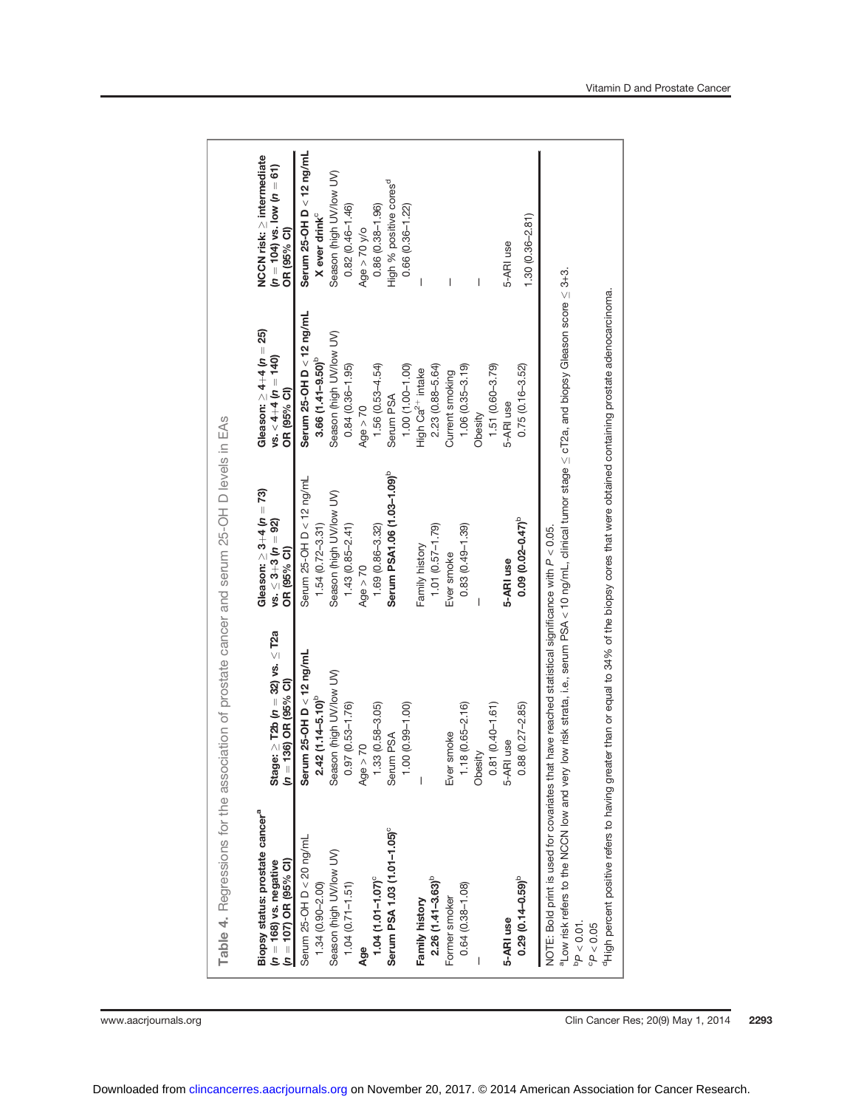|                                                                                                    | Table 4. Regressions for the association of prostate cancer and serum 25-OH D levels in EAs                                                                                                                                                                                        |                                                                        |                                                                          |                                                                                 |
|----------------------------------------------------------------------------------------------------|------------------------------------------------------------------------------------------------------------------------------------------------------------------------------------------------------------------------------------------------------------------------------------|------------------------------------------------------------------------|--------------------------------------------------------------------------|---------------------------------------------------------------------------------|
| Biopsy status: prostate cancer <sup>a</sup><br>$(n = 107)$ OR (95% CI)<br>$(n = 168)$ vs. negative | Stage: $\geq$ T2b ( $n=32$ ) vs. $\leq$ T2a<br>$(n = 136)$ OR (95% CI)                                                                                                                                                                                                             | Gleason: $\geq 3+4$ (n = 73)<br>vs. $\leq$ 3+3 (n = 92)<br>OR (95% CI) | Gleason: $\geq 4+4$ ( $n = 25$ )<br>vs. $<$ 4+4 (n = 140)<br>OR (95% CI) | NCCN risk: $\geq$ intermediate<br>$(n = 104)$ vs. low $(n = 61)$<br>OR (95% CI) |
| Serum $25$ -OH $D < 20$ ng/mL<br>$1.34(0.90 - 2.00)$                                               | Serum 25-OH D < 12 ng/mL<br>$2.42$ (1.14-5.10) <sup>b</sup>                                                                                                                                                                                                                        | Serum 25-OH D < 12 ng/mL<br>$1.54(0.72 - 3.31)$                        | Serum 25-OH D < 12 ng/mL<br>$3.66$ $(1.41 - 9.50)$ <sup>b</sup>          | Serum 25-OH D < 12 ng/mL<br>X ever drink <sup>c</sup>                           |
| Season (high UV/low UV)                                                                            | Season (high UV/low UV)                                                                                                                                                                                                                                                            | Season (high UV/low UV)                                                | Season (high UV/low UV)                                                  | Season (high UV/low UV)                                                         |
| $1.04(0.71 - 1.51)$                                                                                | $0.97(0.53 - 1.76)$                                                                                                                                                                                                                                                                | $1.43(0.85 - 2.41)$                                                    | $0.84(0.36 - 1.95)$                                                      | $0.82(0.46 - 1.46)$                                                             |
| Age                                                                                                | Age $>$ 70                                                                                                                                                                                                                                                                         | Age $> 70$                                                             | Age $> 70$                                                               | Age $> 70$ y/o                                                                  |
| $1.04(1.01 - 1.07)$ <sup>c</sup>                                                                   | $1.33(0.58 - 3.05)$                                                                                                                                                                                                                                                                | $1.69(0.86 - 3.32)$                                                    | $1.56(0.53 - 4.54)$                                                      | $0.86(0.38 - 1.96)$                                                             |
| Serum PSA 1.03 (1.01-1.05)                                                                         | Serum PSA                                                                                                                                                                                                                                                                          | Serum PSA1.06 (1.03-1.09) <sup>b</sup>                                 | Serum PSA                                                                | High % positive cores <sup>d</sup>                                              |
|                                                                                                    | 1.00 (0.99-1.00)                                                                                                                                                                                                                                                                   |                                                                        | 1.00 (1.00-1.00)                                                         | $0.66(0.36 - 1.22)$                                                             |
| Family history                                                                                     |                                                                                                                                                                                                                                                                                    | Family history                                                         | High Ca <sup>2+</sup> intake                                             |                                                                                 |
| $2.26(1.41 - 3.63)$ <sup>b</sup>                                                                   |                                                                                                                                                                                                                                                                                    | $1.01(0.57 - 1.79)$                                                    | $2.23(0.88 - 5.64)$                                                      |                                                                                 |
| Former smoker                                                                                      | Ever smoke                                                                                                                                                                                                                                                                         | Ever smoke                                                             | Current smoking                                                          |                                                                                 |
| $0.64(0.38 - 1.08)$                                                                                | $1.18(0.65 - 2.16)$                                                                                                                                                                                                                                                                | $0.83(0.49 - 1.39)$                                                    | $1.06(0.35 - 3.19)$                                                      |                                                                                 |
|                                                                                                    | Obesity                                                                                                                                                                                                                                                                            | I                                                                      | Obesity                                                                  | I                                                                               |
|                                                                                                    | $0.81(0.40 - 1.61)$                                                                                                                                                                                                                                                                |                                                                        | $1.51(0.60 - 3.79)$                                                      |                                                                                 |
| 5-ARI use                                                                                          | 5-ARI use                                                                                                                                                                                                                                                                          | 5-ARI use                                                              | 5-ARI use                                                                | 5-ARI use                                                                       |
| $0.29$ $(0.14 - 0.59)^{b}$                                                                         | $0.88(0.27 - 2.85)$                                                                                                                                                                                                                                                                | $0.09(0.02 - 0.47)$                                                    | $0.75(0.16 - 3.52)$                                                      | $1.30(0.36 - 2.81)$                                                             |
|                                                                                                    | $^{\text{a}}$ Low risk refers to the NCCN low and very low risk strata, i.e., serum PSA < 10 ng/mL, clinical tumor stage $\leq$ cT2a, and biopsy Gleason score $\leq$ 3+3.<br>NOTE: Bold print is used for covariates that have reached statistical significance with $P < 0.05$ . |                                                                        |                                                                          |                                                                                 |
| $PP < 0.01$ .<br>$^{c}P < 0.05$                                                                    |                                                                                                                                                                                                                                                                                    |                                                                        |                                                                          |                                                                                 |
|                                                                                                    | <sup>d</sup> high percent positive refers to having greater than or equal to 34% of the biopsy cores that were obtained containing prostate adenocarcinoma.                                                                                                                        |                                                                        |                                                                          |                                                                                 |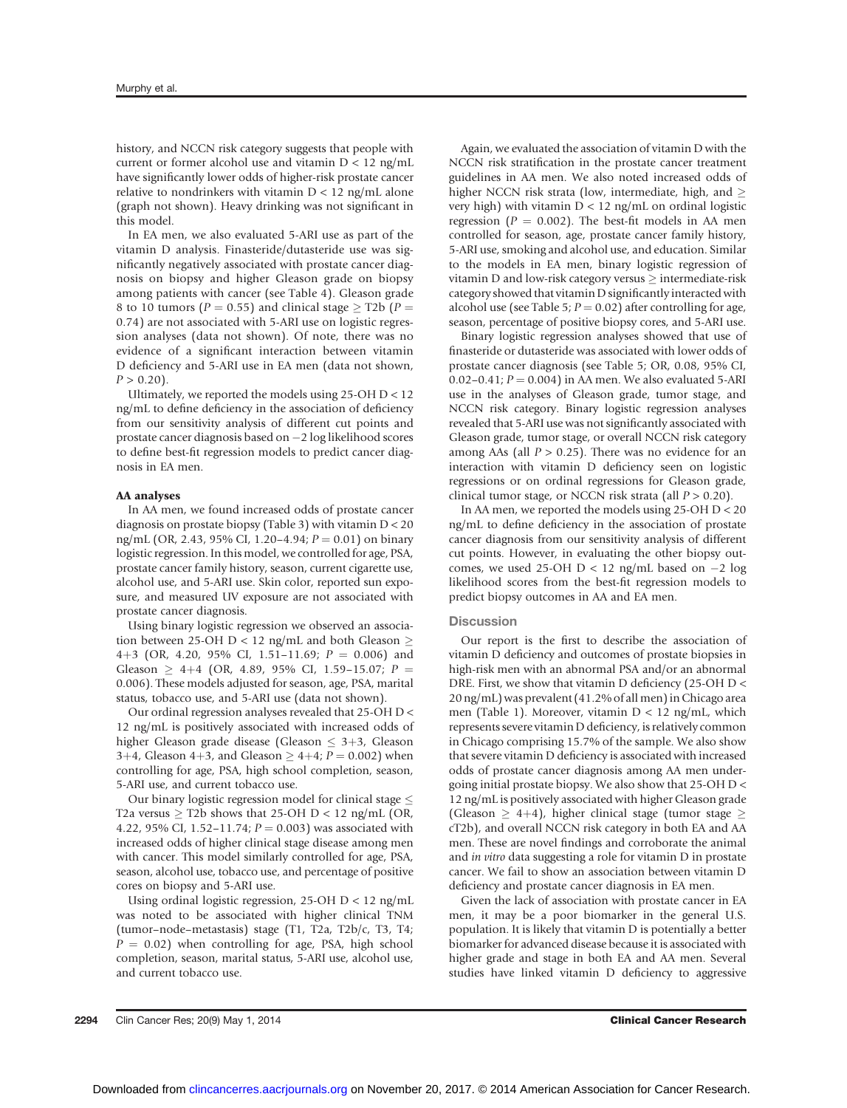history, and NCCN risk category suggests that people with current or former alcohol use and vitamin  $D < 12$  ng/mL have significantly lower odds of higher-risk prostate cancer relative to nondrinkers with vitamin  $D < 12$  ng/mL alone (graph not shown). Heavy drinking was not significant in this model.

In EA men, we also evaluated 5-ARI use as part of the vitamin D analysis. Finasteride/dutasteride use was significantly negatively associated with prostate cancer diagnosis on biopsy and higher Gleason grade on biopsy among patients with cancer (see Table 4). Gleason grade 8 to 10 tumors ( $P = 0.55$ ) and clinical stage  $\geq$  T2b ( $P =$ 0.74) are not associated with 5-ARI use on logistic regression analyses (data not shown). Of note, there was no evidence of a significant interaction between vitamin D deficiency and 5-ARI use in EA men (data not shown,  $P > 0.20$ ).

Ultimately, we reported the models using 25-OH D < 12 ng/mL to define deficiency in the association of deficiency from our sensitivity analysis of different cut points and prostate cancer diagnosis based on  $-2$  log likelihood scores to define best-fit regression models to predict cancer diagnosis in EA men.

#### AA analyses

In AA men, we found increased odds of prostate cancer diagnosis on prostate biopsy (Table 3) with vitamin D < 20 ng/mL (OR, 2.43, 95% CI, 1.20–4.94;  $P = 0.01$ ) on binary logistic regression. In this model, we controlled for age, PSA, prostate cancer family history, season, current cigarette use, alcohol use, and 5-ARI use. Skin color, reported sun exposure, and measured UV exposure are not associated with prostate cancer diagnosis.

Using binary logistic regression we observed an association between 25-OH D < 12 ng/mL and both Gleason  $\geq$ 4+3 (OR, 4.20, 95% CI, 1.51-11.69;  $P = 0.006$ ) and Gleason  $\geq$  4+4 (OR, 4.89, 95% CI, 1.59-15.07; P = 0.006). These models adjusted for season, age, PSA, marital status, tobacco use, and 5-ARI use (data not shown).

Our ordinal regression analyses revealed that 25-OH D < 12 ng/mL is positively associated with increased odds of higher Gleason grade disease (Gleason  $\leq$  3+3, Gleason 3+4, Gleason 4+3, and Gleason  $\geq$  4+4; P = 0.002) when controlling for age, PSA, high school completion, season, 5-ARI use, and current tobacco use.

Our binary logistic regression model for clinical stage  $\leq$ T2a versus  $\geq$  T2b shows that 25-OH D < 12 ng/mL (OR, 4.22, 95% CI, 1.52–11.74;  $P = 0.003$ ) was associated with increased odds of higher clinical stage disease among men with cancer. This model similarly controlled for age, PSA, season, alcohol use, tobacco use, and percentage of positive cores on biopsy and 5-ARI use.

Using ordinal logistic regression, 25-OH D < 12 ng/mL was noted to be associated with higher clinical TNM (tumor–node–metastasis) stage (T1, T2a, T2b/c, T3, T4;  $P = 0.02$ ) when controlling for age, PSA, high school completion, season, marital status, 5-ARI use, alcohol use, and current tobacco use.

Again, we evaluated the association of vitamin D with the NCCN risk stratification in the prostate cancer treatment guidelines in AA men. We also noted increased odds of higher NCCN risk strata (low, intermediate, high, and  $>$ very high) with vitamin  $D < 12$  ng/mL on ordinal logistic regression ( $P = 0.002$ ). The best-fit models in AA men controlled for season, age, prostate cancer family history, 5-ARI use, smoking and alcohol use, and education. Similar to the models in EA men, binary logistic regression of vitamin D and low-risk category versus  $\geq$  intermediate-risk category showed that vitamin D significantly interacted with alcohol use (see Table 5;  $P = 0.02$ ) after controlling for age, season, percentage of positive biopsy cores, and 5-ARI use.

Binary logistic regression analyses showed that use of finasteride or dutasteride was associated with lower odds of prostate cancer diagnosis (see Table 5; OR, 0.08, 95% CI, 0.02–0.41;  $P = 0.004$ ) in AA men. We also evaluated 5-ARI use in the analyses of Gleason grade, tumor stage, and NCCN risk category. Binary logistic regression analyses revealed that 5-ARI use was not significantly associated with Gleason grade, tumor stage, or overall NCCN risk category among AAs (all  $P > 0.25$ ). There was no evidence for an interaction with vitamin D deficiency seen on logistic regressions or on ordinal regressions for Gleason grade, clinical tumor stage, or NCCN risk strata (all  $P > 0.20$ ).

In AA men, we reported the models using 25-OH D < 20 ng/mL to define deficiency in the association of prostate cancer diagnosis from our sensitivity analysis of different cut points. However, in evaluating the other biopsy outcomes, we used 25-OH  $D < 12$  ng/mL based on  $-2$  log likelihood scores from the best-fit regression models to predict biopsy outcomes in AA and EA men.

#### **Discussion**

Our report is the first to describe the association of vitamin D deficiency and outcomes of prostate biopsies in high-risk men with an abnormal PSA and/or an abnormal DRE. First, we show that vitamin D deficiency (25-OH D < 20 ng/mL) was prevalent (41.2% of all men) in Chicago area men (Table 1). Moreover, vitamin  $D < 12$  ng/mL, which represents severe vitamin D deficiency, is relatively common in Chicago comprising 15.7% of the sample. We also show that severe vitamin D deficiency is associated with increased odds of prostate cancer diagnosis among AA men undergoing initial prostate biopsy. We also show that 25-OH D < 12 ng/mL is positively associated with higher Gleason grade (Gleason  $\geq$  4+4), higher clinical stage (tumor stage  $\geq$ cT2b), and overall NCCN risk category in both EA and AA men. These are novel findings and corroborate the animal and in vitro data suggesting a role for vitamin D in prostate cancer. We fail to show an association between vitamin D deficiency and prostate cancer diagnosis in EA men.

Given the lack of association with prostate cancer in EA men, it may be a poor biomarker in the general U.S. population. It is likely that vitamin D is potentially a better biomarker for advanced disease because it is associated with higher grade and stage in both EA and AA men. Several studies have linked vitamin D deficiency to aggressive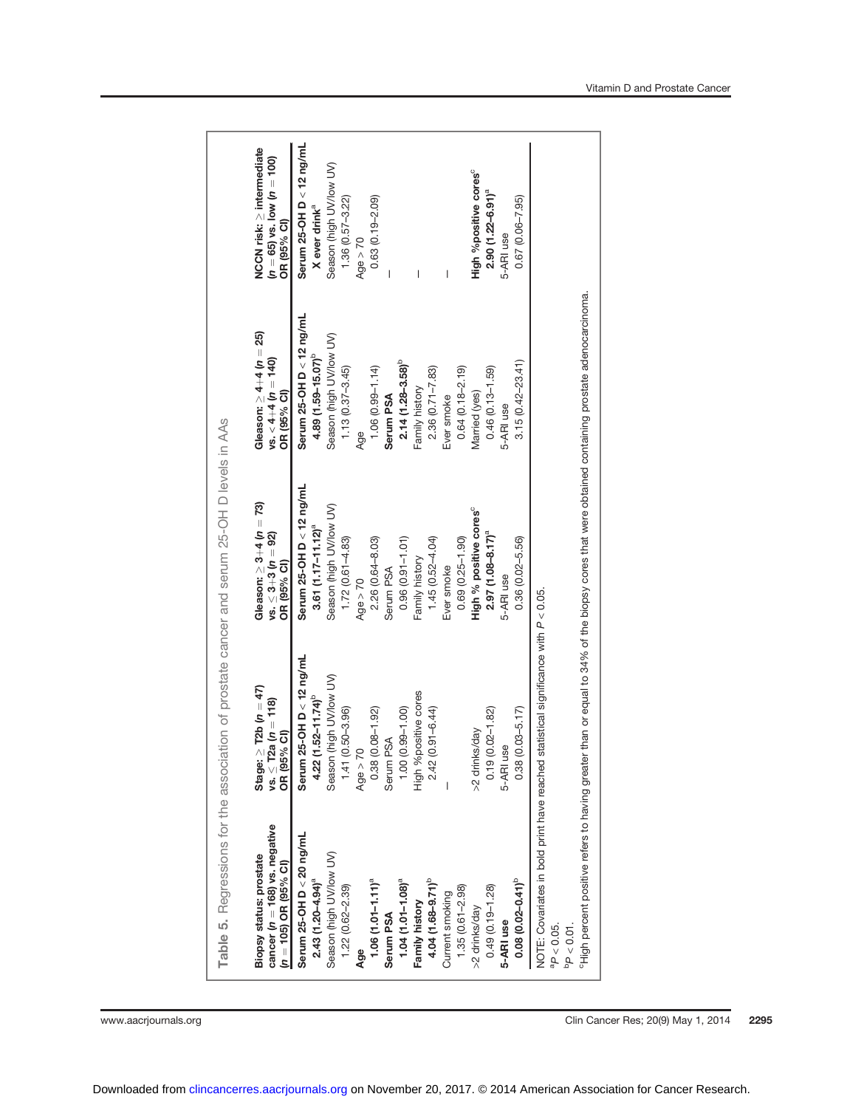| Table 5. Regressions for the association                                                |                                                                                                                                                 | of prostate cancer and serum 25-OH D levels in AAs                       |                                                                          |                                                                                 |
|-----------------------------------------------------------------------------------------|-------------------------------------------------------------------------------------------------------------------------------------------------|--------------------------------------------------------------------------|--------------------------------------------------------------------------|---------------------------------------------------------------------------------|
| cancer ( $n = 168$ ) vs. negative<br>Biopsy status: prostate<br>$(n = 105)$ OR (95% Cl) | Stage: $\geq$ T2b ( $n=47$ )<br>vs. $<$ T2a (n = 118)<br>OR (95% CI)                                                                            | Gleason: $\geq$ 3+4 ( $n=73$ )<br>vs. $\leq 3+3$ (n = 92)<br>OR (95% CI) | Gleason: $\geq$ 4+4 ( $n = 25$ )<br>vs. $<$ 4+4 (n = 140)<br>OR (95% CI) | NCCN risk: $\geq$ intermediate<br>$(n = 65)$ vs. low $(n = 100)$<br>OR (95% CI) |
| Serum 25-OH D < 20 ng/mL                                                                | Serum 25-OH D < 12 ng/mL                                                                                                                        | Serum 25-OH D < 12 ng/mL                                                 | Serum 25-OH D < 12 ng/mL                                                 | Serum 25-OH D < 12 ng/mL                                                        |
| $2.43(1.20 - 4.94)^a$                                                                   | $4.22(1.52 - 11.74)$ <sup>D</sup>                                                                                                               | $3.61(1.17 - 11.12)^a$                                                   | 4.89 (1.59-15.07) <sup>b</sup>                                           | X ever drink <sup>a</sup>                                                       |
| Season (high UV/low UV)                                                                 | Season (high UV/low UV)                                                                                                                         | Season (high UV/low UV)                                                  | Season (high UV/low UV)                                                  | Season (high UV/low UV)                                                         |
| 1.22 (0.62-2.39)                                                                        | 3.96<br>$1.41(0.50 - 3)$                                                                                                                        | $1.72(0.61 - 4.83)$                                                      | $1.13(0.37 - 3.45)$                                                      | $1.36(0.57 - 3.22)$                                                             |
| Age                                                                                     | Age $> 70$                                                                                                                                      | Age > 70                                                                 | Age                                                                      | Age > 70                                                                        |
| $1.06(1.01 - 1.11)^a$                                                                   | 92)<br>$0.38(0.08 - 1)$                                                                                                                         | 2.26 (0.64-8.03)                                                         | $1.06(0.99 - 1.14)$                                                      | $0.63(0.19 - 2.09)$                                                             |
| Serum PSA                                                                               | Serum PSA                                                                                                                                       | Serum PSA                                                                | Serum PSA                                                                |                                                                                 |
| $1.04(1.01 - 1.08)^a$                                                                   | $\odot$<br>$1 - 000000 - 1$                                                                                                                     | $0.96(0.91 - 1.01)$                                                      | $2.14(1.28 - 3.58)^{b}$                                                  |                                                                                 |
| Family history                                                                          | High %positive cores                                                                                                                            | Family history                                                           | Family history                                                           |                                                                                 |
| 4.04 (1.68-9.71) <sup>b</sup>                                                           | 2.42 (0.91-6.44)                                                                                                                                | $1.45(0.52 - 4.04)$                                                      | $2.36(0.71 - 7.83)$                                                      |                                                                                 |
| Current smoking                                                                         |                                                                                                                                                 | Ever smoke                                                               | Ever smoke                                                               |                                                                                 |
| $1.35(0.61 - 2.98)$                                                                     |                                                                                                                                                 | $0.69(0.25 - 1.90)$                                                      | $0.64(0.18 - 2.19)$                                                      |                                                                                 |
| >2 drinks/day                                                                           | >2 drinks/day                                                                                                                                   | High % positive cores <sup>c</sup>                                       | Married (yes)                                                            | High %positive cores <sup>c</sup>                                               |
| $0.49(0.19 - 1.28)$                                                                     | 82)<br>$0.19(0.02 - 1)$                                                                                                                         | $2.97(1.08 - 8.17)^a$                                                    | $0.46(0.13 - 1.59)$                                                      | $2.90(1.22 - 6.91)$ <sup>a</sup>                                                |
| 5-ARI use                                                                               | 5-ARI use                                                                                                                                       | 5-ARI use                                                                | 5-ARI use                                                                | 5-ARI use                                                                       |
| $0.08$ $(0.02 - 0.41)^5$                                                                | $0.38(0.03 - 5.17)$                                                                                                                             | $0.36(0.02 - 5.56)$                                                      | $3.15(0.42 - 23.41)$                                                     | $0.67(0.06 - 7.95)$                                                             |
|                                                                                         | NOTE: Covariates in bold print have reached statistical significance with $P < 0.05$ .                                                          |                                                                          |                                                                          |                                                                                 |
| $^{3}P < 0.05$ .                                                                        |                                                                                                                                                 |                                                                          |                                                                          |                                                                                 |
| $p > 0.01$                                                                              |                                                                                                                                                 |                                                                          |                                                                          |                                                                                 |
|                                                                                         | °High percent positive refers to having greater than or equal to 34% of the biopsy cores that were obtained containing prostate adenocarcinoma. |                                                                          |                                                                          |                                                                                 |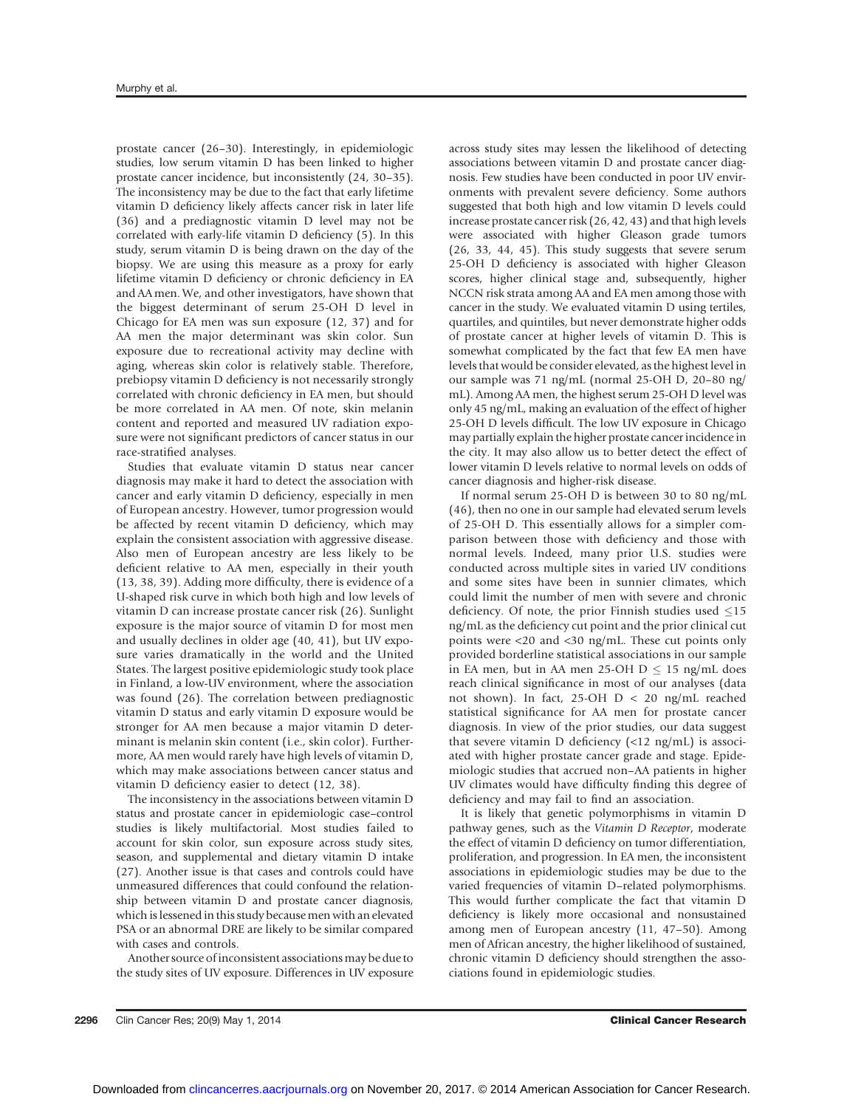prostate cancer (26–30). Interestingly, in epidemiologic studies, low serum vitamin D has been linked to higher prostate cancer incidence, but inconsistently (24, 30–35). The inconsistency may be due to the fact that early lifetime vitamin D deficiency likely affects cancer risk in later life (36) and a prediagnostic vitamin D level may not be correlated with early-life vitamin D deficiency (5). In this study, serum vitamin D is being drawn on the day of the biopsy. We are using this measure as a proxy for early lifetime vitamin D deficiency or chronic deficiency in EA and AA men. We, and other investigators, have shown that the biggest determinant of serum 25-OH D level in Chicago for EA men was sun exposure (12, 37) and for AA men the major determinant was skin color. Sun exposure due to recreational activity may decline with aging, whereas skin color is relatively stable. Therefore, prebiopsy vitamin D deficiency is not necessarily strongly correlated with chronic deficiency in EA men, but should be more correlated in AA men. Of note, skin melanin content and reported and measured UV radiation exposure were not significant predictors of cancer status in our race-stratified analyses.

Studies that evaluate vitamin D status near cancer diagnosis may make it hard to detect the association with cancer and early vitamin D deficiency, especially in men of European ancestry. However, tumor progression would be affected by recent vitamin D deficiency, which may explain the consistent association with aggressive disease. Also men of European ancestry are less likely to be deficient relative to AA men, especially in their youth (13, 38, 39). Adding more difficulty, there is evidence of a U-shaped risk curve in which both high and low levels of vitamin D can increase prostate cancer risk (26). Sunlight exposure is the major source of vitamin D for most men and usually declines in older age (40, 41), but UV exposure varies dramatically in the world and the United States. The largest positive epidemiologic study took place in Finland, a low-UV environment, where the association was found (26). The correlation between prediagnostic vitamin D status and early vitamin D exposure would be stronger for AA men because a major vitamin D determinant is melanin skin content (i.e., skin color). Furthermore, AA men would rarely have high levels of vitamin D, which may make associations between cancer status and vitamin D deficiency easier to detect (12, 38).

The inconsistency in the associations between vitamin D status and prostate cancer in epidemiologic case–control studies is likely multifactorial. Most studies failed to account for skin color, sun exposure across study sites, season, and supplemental and dietary vitamin D intake (27). Another issue is that cases and controls could have unmeasured differences that could confound the relationship between vitamin D and prostate cancer diagnosis, which is lessened in this study because men with an elevated PSA or an abnormal DRE are likely to be similar compared with cases and controls.

Another source of inconsistent associations may be due to the study sites of UV exposure. Differences in UV exposure across study sites may lessen the likelihood of detecting associations between vitamin D and prostate cancer diagnosis. Few studies have been conducted in poor UV environments with prevalent severe deficiency. Some authors suggested that both high and low vitamin D levels could increase prostate cancer risk (26, 42, 43) and that high levels were associated with higher Gleason grade tumors (26, 33, 44, 45). This study suggests that severe serum 25-OH D deficiency is associated with higher Gleason scores, higher clinical stage and, subsequently, higher NCCN risk strata among AA and EA men among those with cancer in the study. We evaluated vitamin D using tertiles, quartiles, and quintiles, but never demonstrate higher odds of prostate cancer at higher levels of vitamin D. This is somewhat complicated by the fact that few EA men have levels that would be consider elevated, as the highest level in our sample was 71 ng/mL (normal 25-OH D, 20–80 ng/ mL). Among AA men, the highest serum 25-OH D level was only 45 ng/mL, making an evaluation of the effect of higher 25-OH D levels difficult. The low UV exposure in Chicago may partially explain the higher prostate cancer incidence in the city. It may also allow us to better detect the effect of lower vitamin D levels relative to normal levels on odds of cancer diagnosis and higher-risk disease.

If normal serum 25-OH D is between 30 to 80 ng/mL (46), then no one in our sample had elevated serum levels of 25-OH D. This essentially allows for a simpler comparison between those with deficiency and those with normal levels. Indeed, many prior U.S. studies were conducted across multiple sites in varied UV conditions and some sites have been in sunnier climates, which could limit the number of men with severe and chronic deficiency. Of note, the prior Finnish studies used  $\leq$ 15 ng/mL as the deficiency cut point and the prior clinical cut points were <20 and <30 ng/mL. These cut points only provided borderline statistical associations in our sample in EA men, but in AA men 25-OH D  $\leq$  15 ng/mL does reach clinical significance in most of our analyses (data not shown). In fact, 25-OH D < 20 ng/mL reached statistical significance for AA men for prostate cancer diagnosis. In view of the prior studies, our data suggest that severe vitamin D deficiency (<12 ng/mL) is associated with higher prostate cancer grade and stage. Epidemiologic studies that accrued non–AA patients in higher UV climates would have difficulty finding this degree of deficiency and may fail to find an association.

It is likely that genetic polymorphisms in vitamin D pathway genes, such as the Vitamin D Receptor, moderate the effect of vitamin D deficiency on tumor differentiation, proliferation, and progression. In EA men, the inconsistent associations in epidemiologic studies may be due to the varied frequencies of vitamin D–related polymorphisms. This would further complicate the fact that vitamin D deficiency is likely more occasional and nonsustained among men of European ancestry (11, 47–50). Among men of African ancestry, the higher likelihood of sustained, chronic vitamin D deficiency should strengthen the associations found in epidemiologic studies.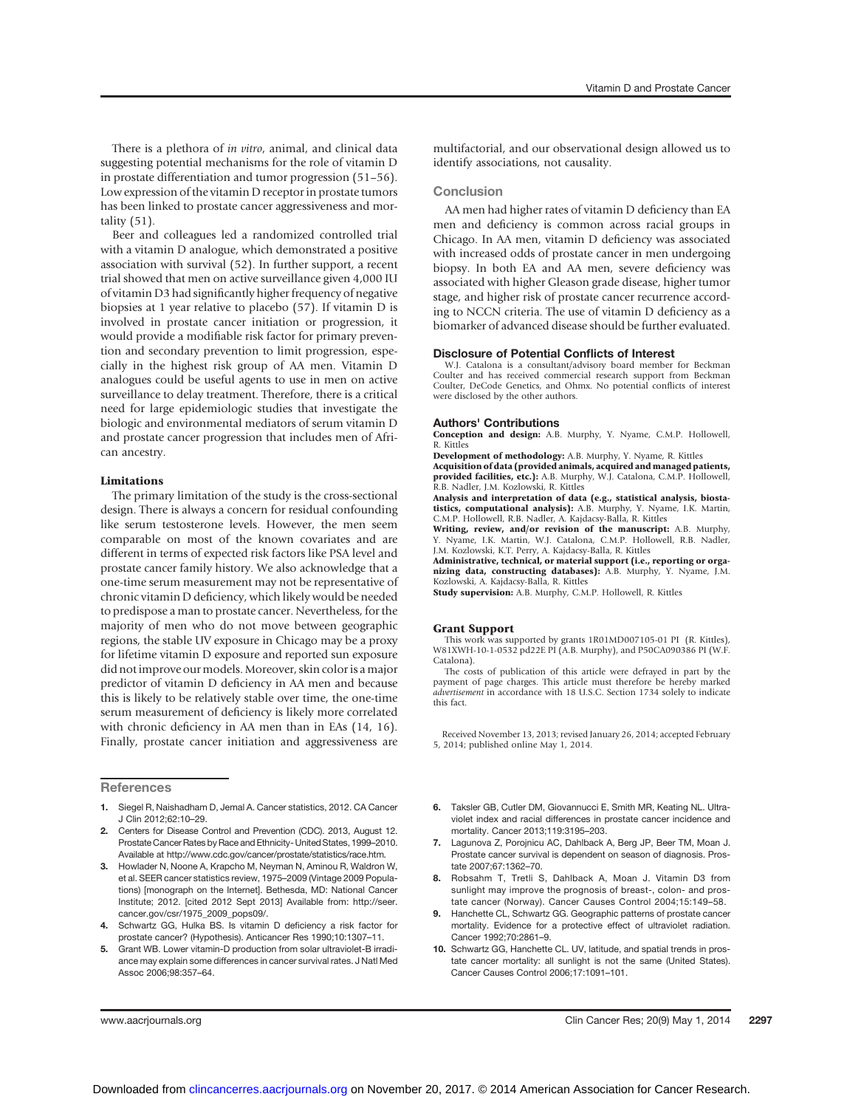There is a plethora of in vitro, animal, and clinical data suggesting potential mechanisms for the role of vitamin D in prostate differentiation and tumor progression (51–56). Low expression of the vitamin D receptor in prostate tumors has been linked to prostate cancer aggressiveness and mortality (51).

Beer and colleagues led a randomized controlled trial with a vitamin D analogue, which demonstrated a positive association with survival (52). In further support, a recent trial showed that men on active surveillance given 4,000 IU of vitamin D3 had significantly higher frequency of negative biopsies at 1 year relative to placebo (57). If vitamin D is involved in prostate cancer initiation or progression, it would provide a modifiable risk factor for primary prevention and secondary prevention to limit progression, especially in the highest risk group of AA men. Vitamin D analogues could be useful agents to use in men on active surveillance to delay treatment. Therefore, there is a critical need for large epidemiologic studies that investigate the biologic and environmental mediators of serum vitamin D and prostate cancer progression that includes men of African ancestry.

#### Limitations

The primary limitation of the study is the cross-sectional design. There is always a concern for residual confounding like serum testosterone levels. However, the men seem comparable on most of the known covariates and are different in terms of expected risk factors like PSA level and prostate cancer family history. We also acknowledge that a one-time serum measurement may not be representative of chronic vitamin D deficiency, which likely would be needed to predispose a man to prostate cancer. Nevertheless, for the majority of men who do not move between geographic regions, the stable UV exposure in Chicago may be a proxy for lifetime vitamin D exposure and reported sun exposure did not improve our models. Moreover, skin color is a major predictor of vitamin D deficiency in AA men and because this is likely to be relatively stable over time, the one-time serum measurement of deficiency is likely more correlated with chronic deficiency in AA men than in EAs (14, 16). Finally, prostate cancer initiation and aggressiveness are

#### **References**

- 1. Siegel R, Naishadham D, Jemal A. Cancer statistics, 2012. CA Cancer J Clin 2012;62:10–29.
- 2. Centers for Disease Control and Prevention (CDC). 2013, August 12. Prostate Cancer Rates by Race and Ethnicity- United States, 1999–2010. Available at http://www.cdc.gov/cancer/prostate/statistics/race.htm.
- 3. Howlader N, Noone A, Krapcho M, Neyman N, Aminou R, Waldron W, et al. SEER cancer statistics review, 1975–2009 (Vintage 2009 Populations) [monograph on the Internet]. Bethesda, MD: National Cancer Institute; 2012. [cited 2012 Sept 2013] Available from: http://seer. cancer.gov/csr/1975\_2009\_pops09/.
- 4. Schwartz GG, Hulka BS. Is vitamin D deficiency a risk factor for prostate cancer? (Hypothesis). Anticancer Res 1990;10:1307–11.
- 5. Grant WB. Lower vitamin-D production from solar ultraviolet-B irradiance may explain some differences in cancer survival rates. J Natl Med Assoc 2006;98:357–64.

multifactorial, and our observational design allowed us to identify associations, not causality.

#### Conclusion

AA men had higher rates of vitamin D deficiency than EA men and deficiency is common across racial groups in Chicago. In AA men, vitamin D deficiency was associated with increased odds of prostate cancer in men undergoing biopsy. In both EA and AA men, severe deficiency was associated with higher Gleason grade disease, higher tumor stage, and higher risk of prostate cancer recurrence according to NCCN criteria. The use of vitamin D deficiency as a biomarker of advanced disease should be further evaluated.

#### Disclosure of Potential Conflicts of Interest

W.J. Catalona is a consultant/advisory board member for Beckman Coulter and has received commercial research support from Beckman Coulter, DeCode Genetics, and Ohmx. No potential conflicts of interest were disclosed by the other authors.

#### Authors' Contributions

Conception and design: A.B. Murphy, Y. Nyame, C.M.P. Hollowell, R. Kittles

Development of methodology: A.B. Murphy, Y. Nyame, R. Kittles Acquisition of data (provided animals, acquired and managed patients, provided facilities, etc.): A.B. Murphy, W.J. Catalona, C.M.P. Hollowell, R.B. Nadler, J.M. Kozlowski, R. Kittles

Analysis and interpretation of data (e.g., statistical analysis, biostatistics, computational analysis): A.B. Murphy, Y. Nyame, I.K. Martin, C.M.P. Hollowell, R.B. Nadler, A. Kajdacsy-Balla, R. Kittles

Writing, review, and/or revision of the manuscript: A.B. Murphy, Y. Nyame, I.K. Martin, W.J. Catalona, C.M.P. Hollowell, R.B. Nadler, J.M. Kozlowski, K.T. Perry, A. Kajdacsy-Balla, R. Kittles

Administrative, technical, or material support (i.e., reporting or organizing data, constructing databases): A.B. Murphy, Y. Nyame, J.M. Kozlowski, A. Kajdacsy-Balla, R. Kittles

Study supervision: A.B. Murphy, C.M.P. Hollowell, R. Kittles

#### Grant Support

This work was supported by grants 1R01MD007105-01 PI (R. Kittles), W81XWH-10-1-0532 pd22E PI (A.B. Murphy), and P50CA090386 PI (W.F. Catalona).

The costs of publication of this article were defrayed in part by the payment of page charges. This article must therefore be hereby marked advertisement in accordance with 18 U.S.C. Section 1734 solely to indicate this fact.

Received November 13, 2013; revised January 26, 2014; accepted February 5, 2014; published online May 1, 2014.

- 6. Taksler GB, Cutler DM, Giovannucci E, Smith MR, Keating NL. Ultraviolet index and racial differences in prostate cancer incidence and mortality. Cancer 2013;119:3195–203.
- 7. Lagunova Z, Porojnicu AC, Dahlback A, Berg JP, Beer TM, Moan J. Prostate cancer survival is dependent on season of diagnosis. Prostate 2007;67:1362–70.
- 8. Robsahm T, Tretli S, Dahlback A, Moan J. Vitamin D3 from sunlight may improve the prognosis of breast-, colon- and prostate cancer (Norway). Cancer Causes Control 2004;15:149–58.
- 9. Hanchette CL, Schwartz GG. Geographic patterns of prostate cancer mortality. Evidence for a protective effect of ultraviolet radiation. Cancer 1992;70:2861–9.
- 10. Schwartz GG, Hanchette CL. UV, latitude, and spatial trends in prostate cancer mortality: all sunlight is not the same (United States). Cancer Causes Control 2006;17:1091–101.

www.aacrjournals.org **Clin Cancer Res**; 20(9) May 1, 2014 2297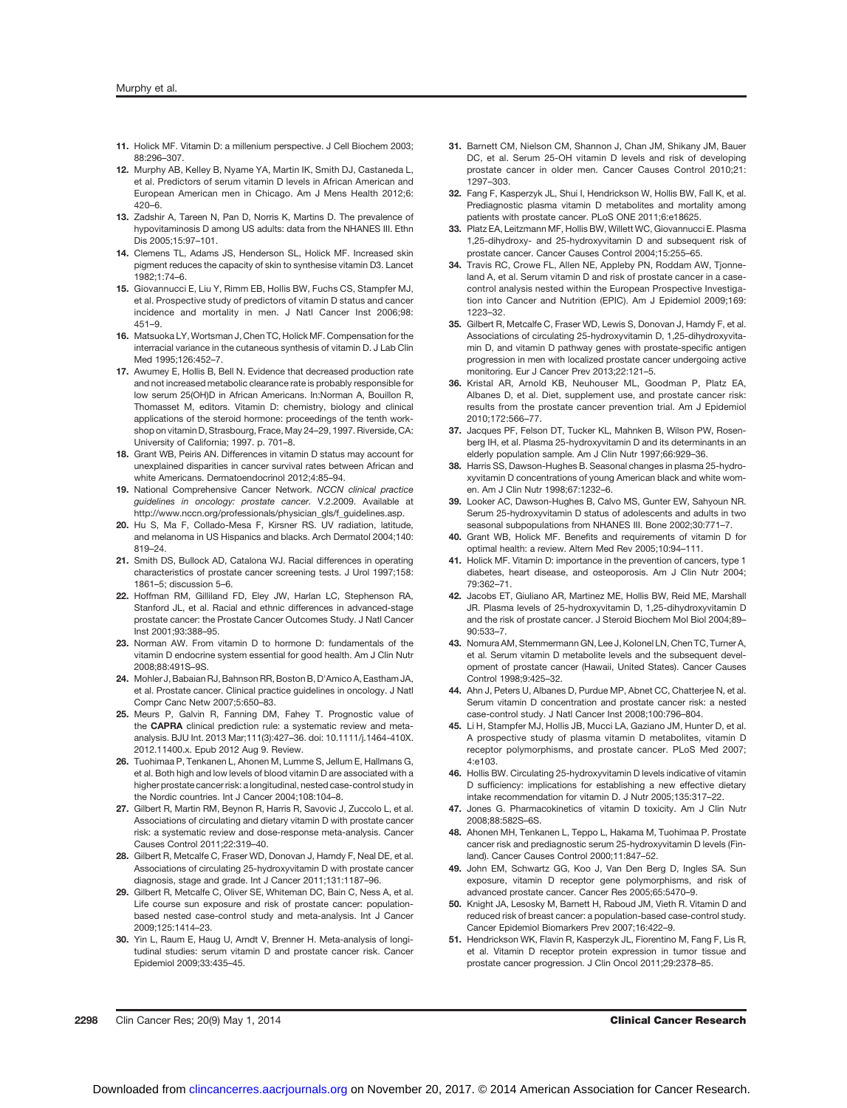- 11. Holick MF. Vitamin D: a millenium perspective. J Cell Biochem 2003; 88:296–307.
- 12. Murphy AB, Kelley B, Nyame YA, Martin IK, Smith DJ, Castaneda L, et al. Predictors of serum vitamin D levels in African American and European American men in Chicago. Am J Mens Health 2012;6: 420–6.
- 13. Zadshir A, Tareen N, Pan D, Norris K, Martins D. The prevalence of hypovitaminosis D among US adults: data from the NHANES III. Ethn Dis 2005;15:97–101.
- 14. Clemens TL, Adams JS, Henderson SL, Holick MF. Increased skin pigment reduces the capacity of skin to synthesise vitamin D3. Lancet 1982;1:74–6.
- 15. Giovannucci E, Liu Y, Rimm EB, Hollis BW, Fuchs CS, Stampfer MJ, et al. Prospective study of predictors of vitamin D status and cancer incidence and mortality in men. J Natl Cancer Inst 2006;98: 451–9.
- 16. Matsuoka LY, Wortsman J, Chen TC, Holick MF. Compensation for the interracial variance in the cutaneous synthesis of vitamin D. J Lab Clin Med 1995;126:452-7.
- 17. Awumey E, Hollis B, Bell N. Evidence that decreased production rate and not increased metabolic clearance rate is probably responsible for low serum 25(OH)D in African Americans. In:Norman A, Bouillon R, Thomasset M, editors. Vitamin D: chemistry, biology and clinical applications of the steroid hormone: proceedings of the tenth workshop on vitamin D, Strasbourg, Frace, May 24–29, 1997. Riverside, CA: University of California; 1997. p. 701–8.
- 18. Grant WB, Peiris AN. Differences in vitamin D status may account for unexplained disparities in cancer survival rates between African and white Americans. Dermatoendocrinol 2012;4:85–94.
- 19. National Comprehensive Cancer Network. NCCN clinical practice guidelines in oncology: prostate cancer. V.2.2009. Available at http://www.nccn.org/professionals/physician\_gls/f\_guidelines.asp.
- 20. Hu S, Ma F, Collado-Mesa F, Kirsner RS. UV radiation, latitude, and melanoma in US Hispanics and blacks. Arch Dermatol 2004;140: 819–24.
- 21. Smith DS, Bullock AD, Catalona WJ. Racial differences in operating characteristics of prostate cancer screening tests. J Urol 1997;158: 1861–5; discussion 5–6.
- 22. Hoffman RM, Gilliland FD, Eley JW, Harlan LC, Stephenson RA, Stanford JL, et al. Racial and ethnic differences in advanced-stage prostate cancer: the Prostate Cancer Outcomes Study. J Natl Cancer Inst 2001;93:388–95.
- 23. Norman AW. From vitamin D to hormone D: fundamentals of the vitamin D endocrine system essential for good health. Am J Clin Nutr 2008;88:491S–9S.
- 24. Mohler J, Babaian RJ, Bahnson RR, Boston B, D'Amico A, Eastham JA, et al. Prostate cancer. Clinical practice guidelines in oncology. J Natl Compr Canc Netw 2007;5:650–83.
- 25. Meurs P, Galvin R, Fanning DM, Fahey T. Prognostic value of the CAPRA clinical prediction rule: a systematic review and metaanalysis. BJU Int. 2013 Mar;111(3):427–36. doi: 10.1111/j.1464-410X. 2012.11400.x. Epub 2012 Aug 9. Review.
- 26. Tuohimaa P, Tenkanen L, Ahonen M, Lumme S, Jellum E, Hallmans G, et al. Both high and low levels of blood vitamin D are associated with a higher prostate cancer risk: a longitudinal, nested case-control study in the Nordic countries. Int J Cancer 2004;108:104–8.
- 27. Gilbert R, Martin RM, Beynon R, Harris R, Savovic J, Zuccolo L, et al. Associations of circulating and dietary vitamin D with prostate cancer risk: a systematic review and dose-response meta-analysis. Cancer Causes Control 2011;22:319–40.
- 28. Gilbert R, Metcalfe C, Fraser WD, Donovan J, Hamdy F, Neal DE, et al. Associations of circulating 25-hydroxyvitamin D with prostate cancer diagnosis, stage and grade. Int J Cancer 2011;131:1187–96.
- 29. Gilbert R, Metcalfe C, Oliver SE, Whiteman DC, Bain C, Ness A, et al. Life course sun exposure and risk of prostate cancer: populationbased nested case-control study and meta-analysis. Int J Cancer 2009;125:1414–23.
- 30. Yin L, Raum E, Haug U, Arndt V, Brenner H. Meta-analysis of longitudinal studies: serum vitamin D and prostate cancer risk. Cancer Epidemiol 2009;33:435–45.
- 31. Barnett CM, Nielson CM, Shannon J, Chan JM, Shikany JM, Bauer DC, et al. Serum 25-OH vitamin D levels and risk of developing prostate cancer in older men. Cancer Causes Control 2010;21: 1297–303.
- 32. Fang F, Kasperzyk JL, Shui I, Hendrickson W, Hollis BW, Fall K, et al. Prediagnostic plasma vitamin D metabolites and mortality among patients with prostate cancer. PLoS ONE 2011;6:e18625.
- 33. Platz EA, Leitzmann MF, Hollis BW, Willett WC, Giovannucci E. Plasma 1,25-dihydroxy- and 25-hydroxyvitamin D and subsequent risk of prostate cancer. Cancer Causes Control 2004;15:255–65.
- 34. Travis RC, Crowe FL, Allen NE, Appleby PN, Roddam AW, Tjonneland A, et al. Serum vitamin D and risk of prostate cancer in a casecontrol analysis nested within the European Prospective Investigation into Cancer and Nutrition (EPIC). Am J Epidemiol 2009;169: 1223–32.
- 35. Gilbert R, Metcalfe C, Fraser WD, Lewis S, Donovan J, Hamdy F, et al. Associations of circulating 25-hydroxyvitamin D, 1,25-dihydroxyvitamin D, and vitamin D pathway genes with prostate-specific antigen progression in men with localized prostate cancer undergoing active monitoring. Eur J Cancer Prev 2013;22:121–5.
- 36. Kristal AR, Arnold KB, Neuhouser ML, Goodman P, Platz EA, Albanes D, et al. Diet, supplement use, and prostate cancer risk: results from the prostate cancer prevention trial. Am J Epidemiol 2010;172:566–77.
- 37. Jacques PF, Felson DT, Tucker KL, Mahnken B, Wilson PW, Rosenberg IH, et al. Plasma 25-hydroxyvitamin D and its determinants in an elderly population sample. Am J Clin Nutr 1997;66:929–36.
- 38. Harris SS, Dawson-Hughes B. Seasonal changes in plasma 25-hydroxyvitamin D concentrations of young American black and white women. Am J Clin Nutr 1998;67:1232–6.
- 39. Looker AC, Dawson-Hughes B, Calvo MS, Gunter EW, Sahyoun NR. Serum 25-hydroxyvitamin D status of adolescents and adults in two seasonal subpopulations from NHANES III. Bone 2002;30:771-7
- 40. Grant WB, Holick MF. Benefits and requirements of vitamin D for optimal health: a review. Altern Med Rev 2005;10:94–111.
- 41. Holick MF. Vitamin D: importance in the prevention of cancers, type 1 diabetes, heart disease, and osteoporosis. Am J Clin Nutr 2004; 79:362–71.
- 42. Jacobs ET, Giuliano AR, Martinez ME, Hollis BW, Reid ME, Marshall JR. Plasma levels of 25-hydroxyvitamin D, 1,25-dihydroxyvitamin D and the risk of prostate cancer. J Steroid Biochem Mol Biol 2004;89– 90:533–7.
- 43. Nomura AM, Stemmermann GN, Lee J, Kolonel LN, Chen TC, Turner A, et al. Serum vitamin D metabolite levels and the subsequent development of prostate cancer (Hawaii, United States). Cancer Causes Control 1998;9:425–32.
- 44. Ahn J, Peters U, Albanes D, Purdue MP, Abnet CC, Chatterjee N, et al. Serum vitamin D concentration and prostate cancer risk: a nested case-control study. J Natl Cancer Inst 2008;100:796–804.
- 45. Li H, Stampfer MJ, Hollis JB, Mucci LA, Gaziano JM, Hunter D, et al. A prospective study of plasma vitamin D metabolites, vitamin D receptor polymorphisms, and prostate cancer. PLoS Med 2007;  $4.9103$
- 46. Hollis BW. Circulating 25-hydroxyvitamin D levels indicative of vitamin D sufficiency: implications for establishing a new effective dietary intake recommendation for vitamin D. J Nutr 2005;135:317–22.
- 47. Jones G. Pharmacokinetics of vitamin D toxicity. Am J Clin Nutr 2008;88:582S–6S.
- 48. Ahonen MH, Tenkanen L, Teppo L, Hakama M, Tuohimaa P. Prostate cancer risk and prediagnostic serum 25-hydroxyvitamin D levels (Finland). Cancer Causes Control 2000;11:847–52.
- 49. John EM, Schwartz GG, Koo J, Van Den Berg D, Ingles SA. Sun exposure, vitamin D receptor gene polymorphisms, and risk of advanced prostate cancer. Cancer Res 2005;65:5470–9.
- 50. Knight JA, Lesosky M, Barnett H, Raboud JM, Vieth R. Vitamin D and reduced risk of breast cancer: a population-based case-control study. Cancer Epidemiol Biomarkers Prev 2007;16:422–9.
- 51. Hendrickson WK, Flavin R, Kasperzyk JL, Fiorentino M, Fang F, Lis R, et al. Vitamin D receptor protein expression in tumor tissue and prostate cancer progression. J Clin Oncol 2011;29:2378–85.

2298 Clin Cancer Res; 20(9) May 1, 2014 Clinical Cancer Research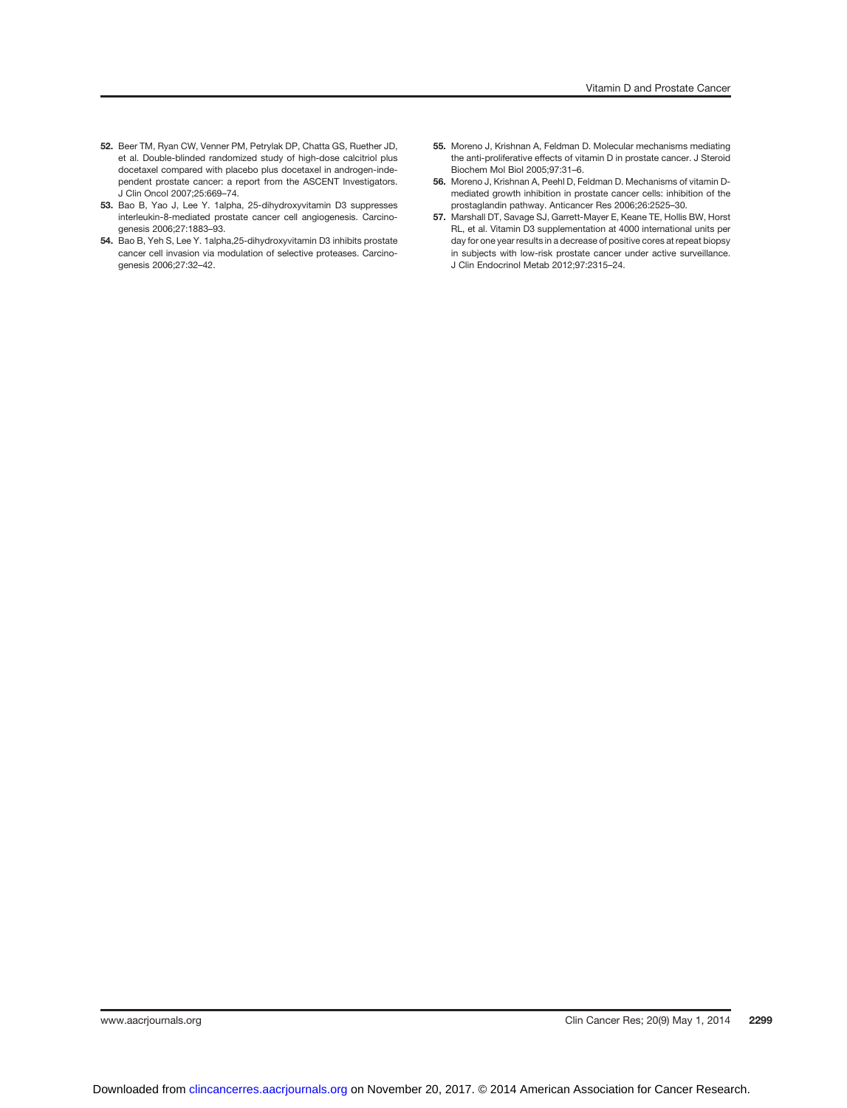- 52. Beer TM, Ryan CW, Venner PM, Petrylak DP, Chatta GS, Ruether JD, et al. Double-blinded randomized study of high-dose calcitriol plus docetaxel compared with placebo plus docetaxel in androgen-independent prostate cancer: a report from the ASCENT Investigators. J Clin Oncol 2007;25:669–74.
- 53. Bao B, Yao J, Lee Y. 1alpha, 25-dihydroxyvitamin D3 suppresses interleukin-8-mediated prostate cancer cell angiogenesis. Carcinogenesis 2006;27:1883–93.
- 54. Bao B, Yeh S, Lee Y. 1alpha,25-dihydroxyvitamin D3 inhibits prostate cancer cell invasion via modulation of selective proteases. Carcinogenesis 2006;27:32–42.
- 55. Moreno J, Krishnan A, Feldman D. Molecular mechanisms mediating the anti-proliferative effects of vitamin D in prostate cancer. J Steroid Biochem Mol Biol 2005;97:31–6.
- 56. Moreno J, Krishnan A, Peehl D, Feldman D. Mechanisms of vitamin Dmediated growth inhibition in prostate cancer cells: inhibition of the prostaglandin pathway. Anticancer Res 2006;26:2525–30.
- 57. Marshall DT, Savage SJ, Garrett-Mayer E, Keane TE, Hollis BW, Horst RL, et al. Vitamin D3 supplementation at 4000 international units per day for one year results in a decrease of positive cores at repeat biopsy in subjects with low-risk prostate cancer under active surveillance. J Clin Endocrinol Metab 2012;97:2315–24.